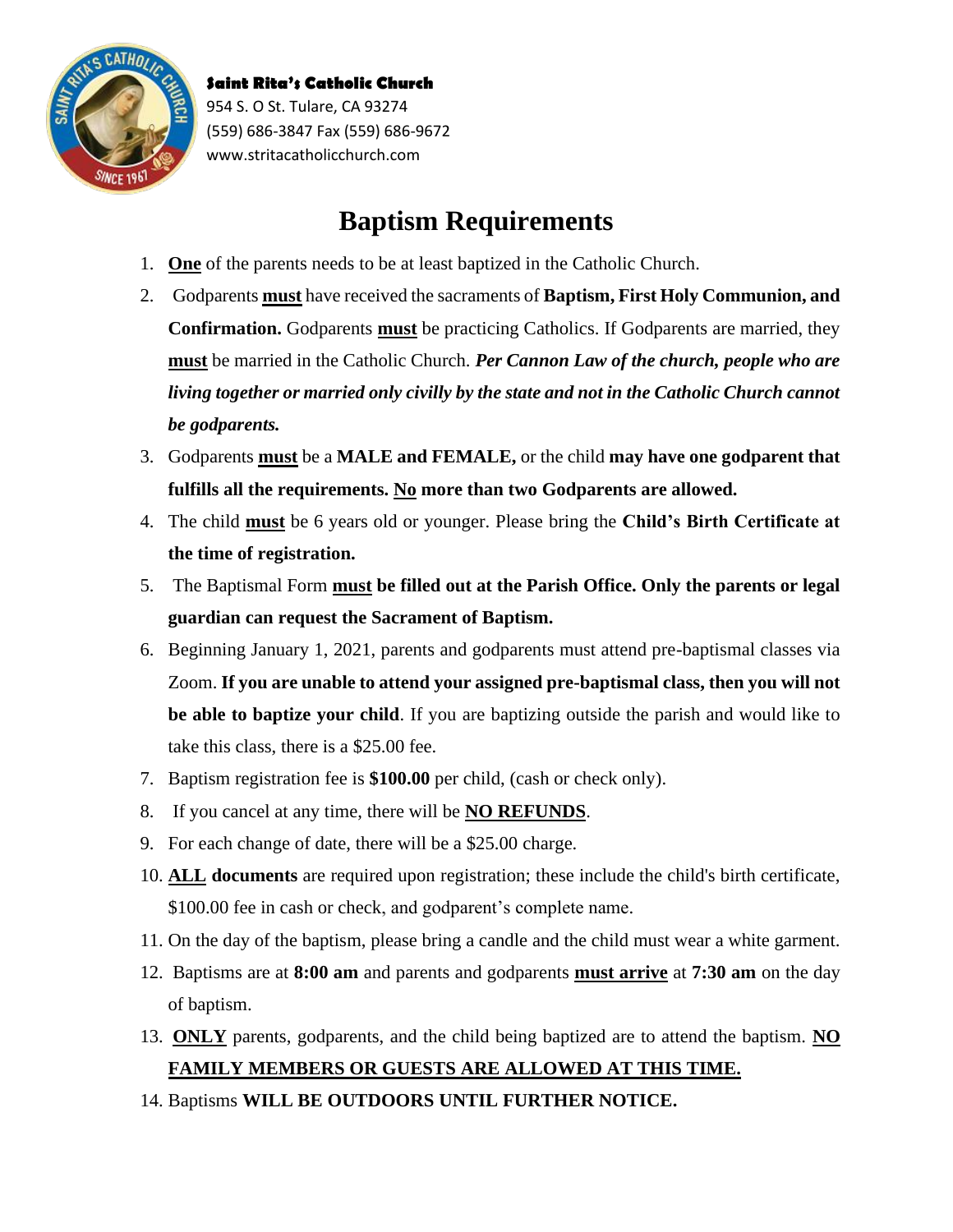

## **Baptism Requirements**

- 1. **One** of the parents needs to be at least baptized in the Catholic Church.
- 2. Godparents **must** have received the sacraments of **Baptism, First Holy Communion, and Confirmation.** Godparents **must** be practicing Catholics. If Godparents are married, they **must** be married in the Catholic Church. *Per Cannon Law of the church, people who are living together or married only civilly by the state and not in the Catholic Church cannot be godparents.*
- 3. Godparents **must** be a **MALE and FEMALE,** or the child **may have one godparent that fulfills all the requirements. No more than two Godparents are allowed.**
- 4. The child **must** be 6 years old or younger. Please bring the **Child's Birth Certificate at the time of registration.**
- 5. The Baptismal Form **must be filled out at the Parish Office. Only the parents or legal guardian can request the Sacrament of Baptism.**
- 6. Beginning January 1, 2021, parents and godparents must attend pre-baptismal classes via Zoom. **If you are unable to attend your assigned pre-baptismal class, then you will not be able to baptize your child**. If you are baptizing outside the parish and would like to take this class, there is a \$25.00 fee.
- 7. Baptism registration fee is **\$100.00** per child, (cash or check only).
- 8. If you cancel at any time, there will be **NO REFUNDS**.
- 9. For each change of date, there will be a \$25.00 charge.
- 10. **ALL documents** are required upon registration; these include the child's birth certificate, \$100.00 fee in cash or check, and godparent's complete name.
- 11. On the day of the baptism, please bring a candle and the child must wear a white garment.
- 12. Baptisms are at **8:00 am** and parents and godparents **must arrive** at **7:30 am** on the day of baptism.
- 13. **ONLY** parents, godparents, and the child being baptized are to attend the baptism. **NO FAMILY MEMBERS OR GUESTS ARE ALLOWED AT THIS TIME.**
- 14. Baptisms **WILL BE OUTDOORS UNTIL FURTHER NOTICE.**